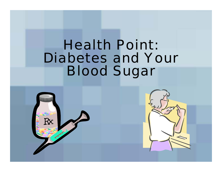## Health Point: Diabetes and Your Blood Sugar



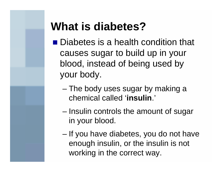### **What is diabetes?**

- Diabetes is a health condition that causes sugar to build up in your blood, instead of being used by your body.
	- – The body uses sugar by making a chemical called '**insulin**.'
	- – Insulin controls the amount of sugar in your blood.
	- If you have diabetes, you do not have enough insulin, or the insulin is not working in the correct way.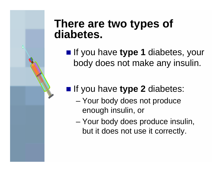### **There are two types of diabetes.**

 $\theta$ 

**If you have type 1 diabetes, your** body does not make any insulin.

#### **If you have type 2 diabetes:**

- Your body does not produce enough insulin, or
- – Your body does produce insulin, but it does not use it correctly.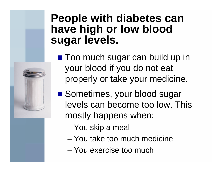### **People with diabetes can have high or low blood sugar levels.**

- Too much sugar can build up in your blood if you do not eat properly or take your medicine.
- Sometimes, your blood sugar levels can become too low. This mostly happens when:
	- –You skip a meal
	- You take too much medicine
	- You exercise too much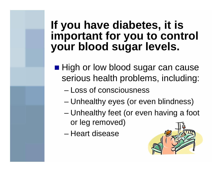### **If you have diabetes, it is important for you to control your blood sugar levels.**

- High or low blood sugar can cause serious health problems, including:
	- Loss of consciousness
	- Unhealthy eyes (or even blindness)
	- – Unhealthy feet (or even having a foot or leg removed)
	- Heart disease

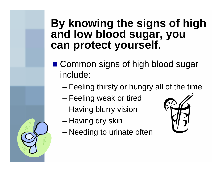### **By knowing the signs of high and low blood sugar, you can protect yourself.**

- Common signs of high blood sugar include:
	- –Feeling thirsty or hungry all of the time
	- Feeling weak or tired
	- –Having blurry vision
	- –Having dry skin
	- –Needing to urinate often

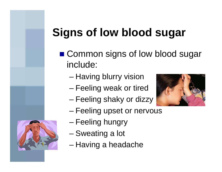# **Signs of low blood sugar**

- Common signs of low blood sugar include:
	- –Having blurry vision
	- Feeling weak or tired
	- –Feeling shaky or dizzy





- –Feeling upset or nervous
- –Feeling hungry
- –Sweating a lot
- –Having a headache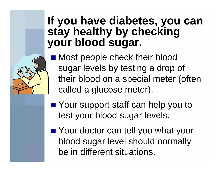### **If you have diabetes, you can stay healthy by checking your blood sugar.**

 Most people check their blood sugar levels by testing a drop of their blood on a special meter (often called a glucose meter).

- Your support staff can help you to test your blood sugar levels.
- Your doctor can tell you what your blood sugar level should normally be in different situations.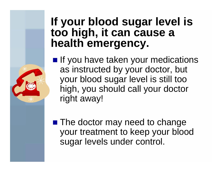### **If your blood sugar level is too high, it can cause a health emergency.**

**If you have taken your medications** as instructed by your doctor, but your blood sugar level is still too high, you should call your doctor right away!

**The doctor may need to change** your treatment to keep your blood sugar levels under control.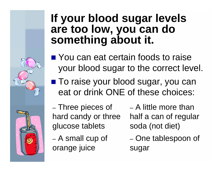### **If your blood sugar levels are too low, you can do something about it.**

■ You can eat certain foods to raise your blood sugar to the correct level.

■ To raise your blood sugar, you can eat or drink ONE of these choices:

– Three pieces of hard candy or three glucose tablets

 A small cup of orange juice

– A little more than half a can of regular soda (not diet)

– One tablespoon of sugar

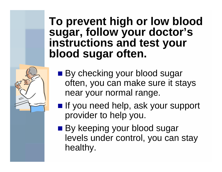### **To prevent high or low blood sugar, follow your doctor's instructions and test your blood sugar often.**



- By checking your blood sugar often, you can make sure it stays near your normal range.
- **If** you need help, ask your support provider to help you.
- By keeping your blood sugar levels under control, you can stay healthy.